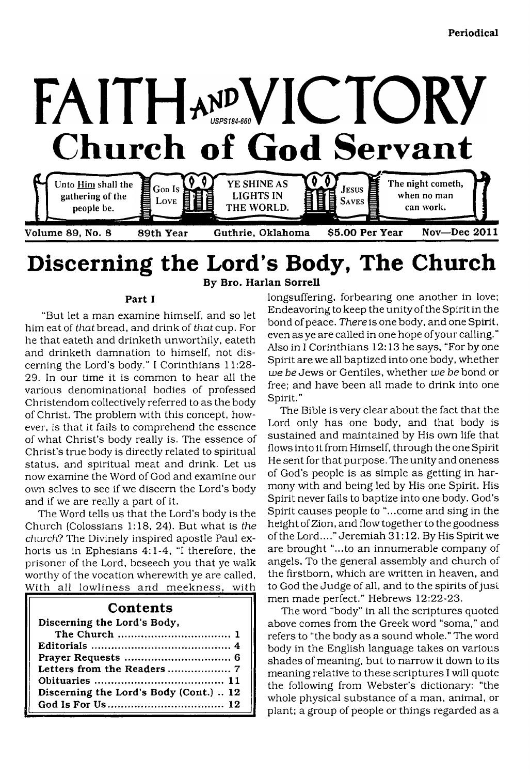

# **Discerning the Lord's Body, The Church**

**By Bro. Harlan Sorrell**

#### **Part I**

"But let a man examine himself, and so let him eat of *that* bread, and drink of *that* cup. For he that eateth and drinketh unworthily, eateth and drinketh damnation to himself, not discerning the Lord's body." I Corinthians 11:28- 29. In our time it is common to hear all the various denominational bodies of professed Christendom collectively referred to as the body of Christ. The problem with this concept, however, is that it fails to comprehend the essence of what Christ's body really is. The essence of Christ's true body is directly related to spiritual status, and spiritual meat and drink. Let us now examine the Word of God and examine our own selves to see if we discern the Lord's body and if we are really a part of it.

The Word tells us that the Lord's body is the Church (Colossians 1:18, 24). But what is *the church?* The Divinely inspired apostle Paul exhorts us in Ephesians 4:1-4, "I therefore, the prisoner of the Lord, beseech you that ye walk worthy of the vocation wherewith ye are called, With all lowliness and meekness, with

#### **Contents**

| Discerning the Lord's Body,            |
|----------------------------------------|
|                                        |
|                                        |
|                                        |
|                                        |
|                                        |
| Discerning the Lord's Body (Cont.)  12 |

God Is For Us..................................... 12

longsuffering, forbearing one another in love: Endeavoring to keep the unity of the Spirit in the bond of peace. *There* is one body, and one Spirit, even as ye are called in one hope of your calling." Also in I Corinthians 12:13 he says, "For by one Spirit are we all baptized into one body, whether *we be* Jews or Gentiles, whether *we* be bond or free: and have been all made to drink into one Spirit."

The Bible is very clear about the fact that the Lord only has one body, and that body is sustained and maintained by His own life that flows into it from Himself, through the one Spirit He sent for that purpose. The unity and oneness of God's people is as simple as getting in harmony with and being led by His one Spirit. His Spirit never fails to baptize into one body. God's Spirit causes people to "...come and sing in the height of Zion, and flow together to the goodness of the Lord.... " Jeremiah 31:12. By His Spirit we are brought "...to an innumerable company of angels, To the general assembly and church of the firstborn, which are written in heaven, and to God the Judge of all, and to the spirits of just men made perfect." Hebrews 12:22-23.

The word "body" in all the scriptures quoted above comes from the Greek word "soma," and refers to "the body as a sound whole." The word body in the English language takes on various shades of meaning, but to narrow it down to its meaning relative to these scriptures I will quote the following from Webster's dictionary: "the whole physical substance of a man, animal, or plant: a group of people or things regarded as a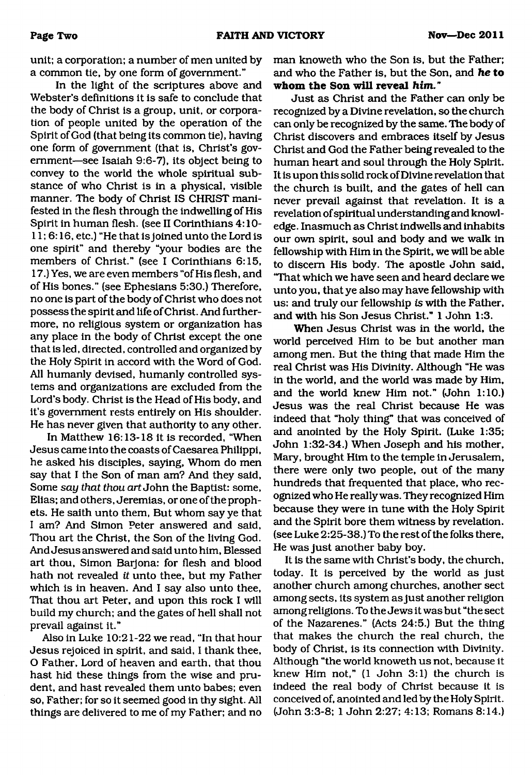unit; a corporation; a number of men united by a common tie, by one form of government."

In the light of the scriptures above and Webster's definitions it is safe to conclude that the body of Christ is a group, unit, or corporation of people united by the operation of the Spirit of God (that being its common tie), having one form of government (that is, Christ's government—see Isaiah 9:6-7), its object being to convey to the world the whole spiritual substance of who Christ is in a physical, visible manner. The body of Christ IS CHRIST manifested in the flesh through the indwelling of His Spirit in human flesh, (see II Corinthians 4:10- 11; 6:16, etc.) "He that is joined unto the Lord is one spirit" and thereby "your bodies are the members of Christ." (see I Corinthians 6:15, 17.) Yes, we are even members "of His flesh, and of His bones." (see Ephesians 5:30.) Therefore, no one is part of the body of Christ who does not possess the spirit and life of Christ. And furthermore, no religious system or organization has any place in the body of Christ except the one that is led, directed, controlled and organized by the Holy Spirit in accord with the Word of God. All humanly devised, humanly controlled systems and organizations are excluded from the Lord's body. Christ is the Head of His body, and it's government rests entirely on His shoulder. He has never given that authority to any other.

In Matthew 16:13-18 it is recorded, "When Jesus came into the coasts of Caesarea Philippi, he asked his disciples, saying, Whom do men say that I the Son of man am? And they said, Some *say that thou* art John the Baptist: some, Elias; and others, Jeremias, or one of the prophets. He saith unto them, But whom say ye that I am? And Simon Peter answered and said, Thou art the Christ, the Son of the living God. And Jesus answered and said unto him, Blessed art thou, Simon Barjona: for flesh and blood hath not revealed *it* unto thee, but my Father which is in heaven. And I say also unto thee, That thou art Peter, and upon this rock I will build my church; and the gates of hell shall not prevail against it."

Also in Luke 10:21-22 we read, "In that hour Jesus rejoiced in spirit, and said, I thank thee, O Father, Lord of heaven and earth, that thou hast hid these things from the wise and prudent, and hast revealed them unto babes; even so. Father; for so it seemed good in thy sight. All things are delivered to me of my Father; and no man knoweth who the Son is, but the Father; and who the Father is, but the Son, and *he* **to whom the Son will reveal him."**

Just as Christ and the Father can only be recognized by a Divine revelation, so the church can only be recognized by the same. The body of Christ discovers and embraces itself by Jesus Christ and God the Father being revealed to the human heart and soul through the Holy Spirit. It is upon this solid rock of Divine revelation that the church is built, and the gates of hell can never prevail against that revelation. It is a revelation of spiritual understanding and knowledge. Inasmuch as Christ indwells and inhabits our own spirit, soul and body and we walk in fellowship with Him in the Spirit, we will be able to discern His body. The apostle John said, "That which we have seen and heard declare we unto you, that ye also may have fellowship with us: and truly our fellowship is with the Father, and with his Son Jesus Christ." 1 John 1:3.

When Jesus Christ was in the world, the world perceived Him to be but another man among men. But the thing that made Him the real Christ was His Divinity. Although "He was in the world, and the world was made by Him, and the world knew Him not." (John 1:10.) Jesus was the real Christ because He was indeed that "holy thing" that was conceived of and anointed by the Holy Spirit. (Luke 1:35; John 1:32-34.) When Joseph and his mother, Mary, brought Him to the temple in Jerusalem, there were only two people, out of the many hundreds that frequented that place, who recognized who He really was. They recognized Him because they were in tune with the Holy Spirit and the Spirit bore them witness by revelation, (see Luke 2:25-38.) To the rest of the folks there, He was just another baby boy.

It is the same with Christ's body, the church, today. It is perceived by the world as just another church among churches, another sect among sects, its system as just another religion among religions. To the Jews it was but "the sect of the Nazarenes." (Acts 24:5.) But the thing that makes the church the real church, the body of Christ, is its connection with Divinity. Although "the world knoweth us not, because it knew Him not," (1 John 3:1) the church is indeed the real body of Christ because it is conceived of, anointed and led by the Holy Spirit. (John 3:3-8; 1 John 2:27; 4:13; Romans 8:14.)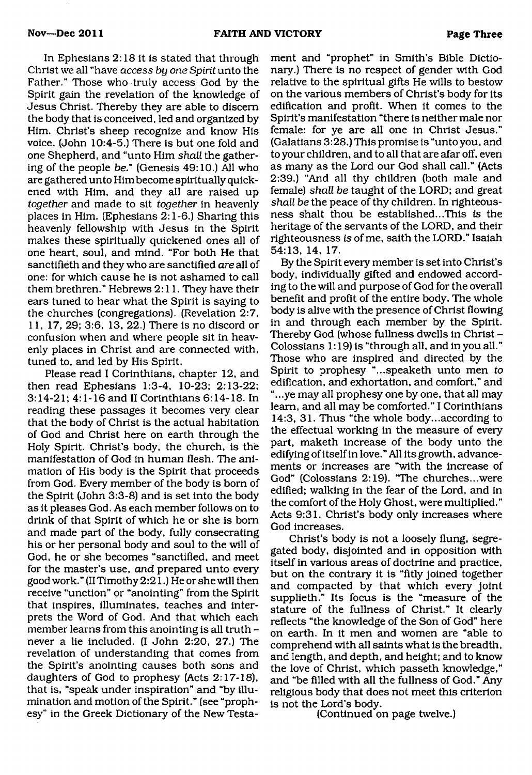In Ephesians 2:18 it is stated that through Christ we all "have *access by one Spirit* unto the Father." Those who truly access God by the Spirit gain the revelation of the knowledge of Jesus Christ. Thereby they are able to discern the body that is conceived, led and organized by Him. Christ's sheep recognize and know His voice. (John 10:4-5.) There is but one fold and one Shepherd, and "unto Him *shall* the gathering of the people *be."* (Genesis 49:10.) All who are gathered unto Him become spiritually quickened with Him, and they all are raised up *together* and made to sit *together* in heavenly places in Him. (Ephesians 2:1-6.) Sharing this heavenly fellowship with Jesus in the Spirit makes these spiritually quickened ones all of one heart, soul, and mind. "For both He that sanctifieth and they who are sanctified *are* all of one: for which cause he is not ashamed to call them brethren." Hebrews 2:11. They have their ears tuned to hear what the Spirit is saying to the churches (congregations). (Revelation 2:7, 11, 17, 29; 3:6, 13, 22.) There is no discord or confusion when and where people sit in heavenly places in Christ and are connected with, tuned to, and led by His Spirit.

Please read I Corinthians, chapter 12, and then read Ephesians 1:3-4, 10-23; 2:13-22; 3:14-21; 4:1-16 and II Corinthians 6:14-18. In reading these passages it becomes very clear that the body of Christ is the actual habitation of God and Christ here on earth through the Holy Spirit. Christ's body, the church, is the manifestation of God in human flesh. The animation of His body is the Spirit that proceeds from God. Every member of the body is born of the Spirit (John 3:3-8) and is set into the body as it pleases God. As each member follows on to drink of that Spirit of which he or she is bom and made part of the body, fully consecrating his or her personal body and soul to the will of God, he or she becomes "sanctified, and meet for the master's use, *and* prepared unto every good work. " (II Timothy 2:21.) He or she will then receive "unction" or "anointing" from the Spirit that inspires, illuminates, teaches and interprets the Word of God. And that which each member leams from this anointing is all truth never a lie included. (I John 2:20, 27.) The revelation of understanding that comes from the Spirit's anointing causes both sons and daughters of God to prophesy (Acts 2:17-18), that is, "speak under inspiration" and "by illumination and motion of the Spirit." (see "prophesy" in the Greek Dictionary of the New Testament and "prophet" in Smith's Bible Dictionary.) There is no respect of gender with God relative to the spiritual gifts He wills to bestow on the various members of Christ's body for its edification and profit. When it comes to the Spirit's manifestation "there is neither male nor female: for ye are sill one in Christ Jesus." (Galatians 3:28.) This promise is "unto you, and to your children, and to all that are afar off, even as many as the Lord our God shall call." (Acts 2:39.) "And all thy children (both male and female) *shall be* taught of the LORD; and great shall *be* the peace of thy children. In righteousness shalt thou be established...This *is* the heritage of the servants of the LORD, and their righteousness *is* of me, saith the LORD." Isaiah 54:13, 14, 17.

By the Spirit every member is set into Christ's body, individually gifted and endowed according to the will and purpose of God for the overall benefit and profit of the entire body. The whole body is alive with the presence of Christ flowing in and through each member by the Spirit. Thereby God (whose fullness dwells in Christ - Colossians 1:19) is "through all, and in you all." Those who are inspired and directed by the Spirit to prophesy "...speaketh unto men *to* edification, and e^diortation, and comfort," and "...ye may all prophesy one by one, that all may learn, and all may be comforted." I Corinthians 14:3, 31. Thus "the whole body...according to the effectual working in the measure of every part, maketh increase of the body unto the edifying of itself in love. " All its growth, advancements or increases are "with the increase of God" (Colossians 2:19). "The churches...were edified; walking in the fear of the Lord, and in the comfort of the Holy Ghost, were multiplied." Acts 9:31. Christ's body only increases where God increases.

Christ's body is not a loosely flung, segregated body, disjointed and in opposition with itself in various areas of doctrine and practice, but on the contrary it is "fitly joined together and compacted by that which every joint supplieth." Its focus is the "measure of the stature of the fullness of Christ." It clearly reflects "the knowledge of the Son of God" here on earth. In it men and women are "able to comprehend with *all* saints what is the breadth, and length, and depth, and height; and to know the love of Christ, which passeth knowledge," and "be filled with all the fullness of God." Any religious body that does not meet this criterion is not the Lord's body.

(Continued on page twelve.)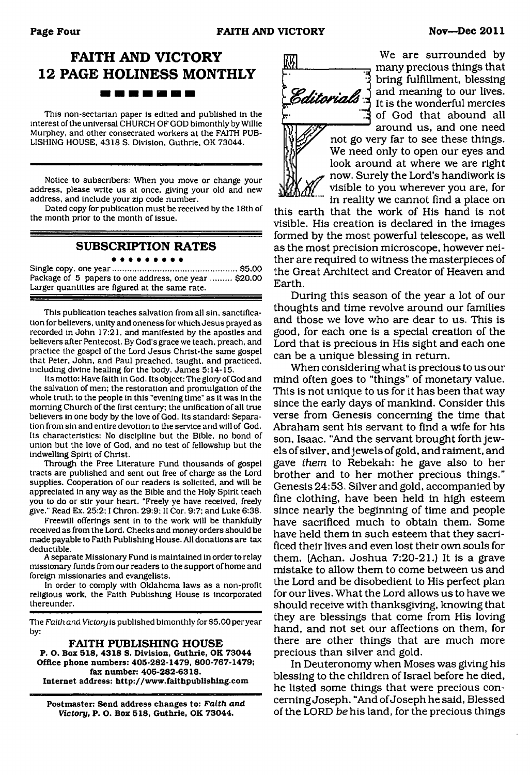## **FAITH AND VICTORY 12 PAGE HOLINESS MONTHLY** <u>. . . . . .</u>

This non-sectarian paper is edited and published in the interest of the universal CHURCH OF GOD bimonthly by Willie Murphey, and other consecrated workers at the FAITH PUB-LISHING HOUSE. 4318 S. Division, Guthrie. OK 73044.

Notice to subscribers: When you move or change your address, please write us at once, giving your old and new address, and include your zip code number.

Dated copy for publication must be received by the 18th of the month prior to the month of issue.

#### **SUBSCRIPTION RATES** . . . . . . . . .

Single copy, one year......................................................\$5.00 Package of 5 papers to one address, one year ......... \$20.00 Larger quantities are figured at the same rate.

This publication teaches salvation from all sin, sanctification for believers, unity and oneness for which Jesus prayed as recorded in John 17:21, and manifested by the apostles and believers after Pentecost. By God's grace we teach, preach, and practice the gospel of the Lord Jesus Christ-the same gospel that Peter, John, and Paul preached, taught, and practiced, including divine healing for the body. James 5:14-15.

Its motto: Have faith in God. Its object: The glory of God and the salvation of men: the restoration and promulgation of the whole truth to the people in this "evening time" as it was in the morning Church of the first century: the unification of all true believers in one body by the love of God. Its standard: Separation from sin and entire devotion to the service and will of God. Its characteristics: No discipline but the Bible, no bond of union but the love of God, and no test of fellowship but the indwelling Spirit of Christ.

Through the Free Literature Fund thousands of gospel tracts are published and sent out free of charge as the Lord supplies. Cooperation of our readers is solicited, and will be appreciated in any way as the Bible and the Holy Spirit teach you to do or stir your heart. "Freely ye have received, freely give." Read Ex. 25:2:1 Chron. 29:9: II Cor. 9:7; and Luke 6:38.

Freewill offerings sent in to the work will be thankfully received as from the Lord. Checks and money orders should be made payable to Faith Publishing House. All donations are tax deductible.

A separate Missionary Fund is maintained in order to relay missionary funds from our readers to the support of home and foreign missionaries and evangelists.

In order to comply with Oklahoma laws as a non-profit religious work, the Faith Publishing House is incorporated thereunder.

The *Faithand Victory* is published bimonthly for \$5.00 per year by:

#### **FAITH PUBLISHING HOUSE**

**P. O. Box 518. 4318 S. Division, Guthrie, OK 73044 Office phone numbers: 405-282-1479, 800-767-1479; fax number: 405-282-6318. Internet address: <http://www.faithpublishing.com>**

**Postmaster: Send address changes to:** *Faith and Victory,* **P. O. Box 518, Guthrie, OK 73044.**

We are surrounded by many precious things that bring fulfillment, blessing  $Z$  *I*  $\cdot$   $\cdot$   $\cdot$   $\cdot$   $\cdot$   $\cdot$  and meaning to our lives. *JpdU'C&fUZoO* it is the wonderful mercies of God that abound all around us, and one need

not go very far to see these things. We need only to open our eyes and look around at where we are right , now. Surely the Lord's handiwork is visible to you wherever you are, for in reality we cannot find a place on

this earth that the work of His hand is not visible. His creation is declared in the images formed by the most powerful telescope, as well as the most precision microscope, however neither are required to witness the masterpieces of the Great Architect and Creator of Heaven and Earth.

During this season of the year a lot of our thoughts and time revolve around our families and those we love who are dear to us. This is good, for each one is a special creation of the Lord that is precious in His sight and each one can be a unique blessing in return.

When considering what is precious to us our mind often goes to "things" of monetary value. This is not unique to us for it has been that way since the early days of mankind. Consider this verse from Genesis concerning the time that Abraham sent his servant to find a wife for his son, Isaac. "And the servant brought forth jewels of silver, and jewels of gold, and raiment, and gave *them* to Rebekah: he gave also to her brother and to her mother precious things." Genesis 24:53. Silver and gold, accompanied by fine clothing, have been held in high esteem since nearly the beginning of time and people have sacrificed much to obtain them. Some have held them in such esteem that they sacrificed their lives and even lost their own souls for them. (Achan. Joshua 7:20-21.) It is a grave mistake to allow them to come between us and the Lord and be disobedient to His perfect plan for our lives. What the Lord allows us to have we should receive with thanksgiving, knowing that they are blessings that come from His loving hand, and not set our affections on them, for there are other things that are much more precious than silver and gold.

In Deuteronomy when Moses was giving his blessing to the children of Israel before he died, he listed some things that were precious concerning Joseph. "And of Joseph he said, Blessed of the LORD be his land, for the precious things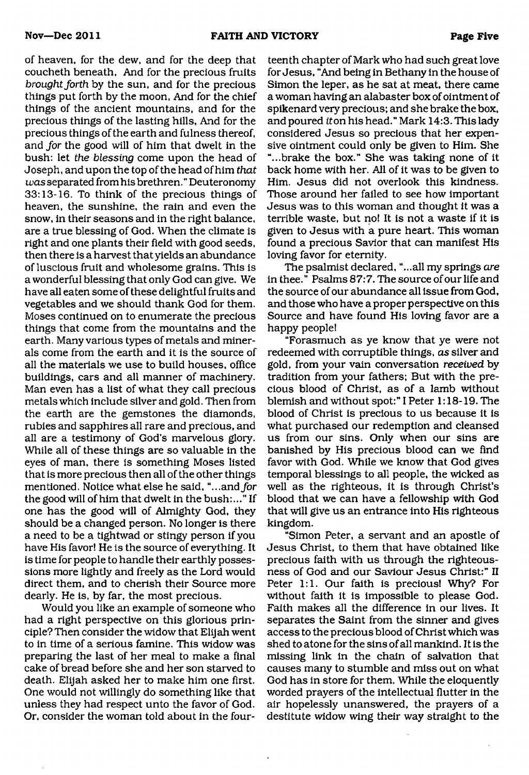of heaven, for the dew, and for the deep that coucheth beneath. And for the precious fruits *brought forth* by the sun, and for the precious things put forth by the moon. And for the chief things of the ancient mountains, and for the precious things of the lasting hills, And for the precious things of the earth and fulness thereof, and *for* the good will of him that dwelt in the bush: let *the blessing* come upon the head of Joseph, and upon the top of the head of him *that was* separated from his brethren. " Deuteronomy 33:13-16. To think of the precious things of heaven, the sunshine, the rain and even the snow, in their seasons and in the right balance, are a true blessing of God. When the climate is right and one plants their field with good seeds, then there is a harvest that yields an abundance of luscious fruit and wholesome grains. This is a wonderful blessing that only God can give. We have all eaten some of these delightful fruits and vegetables and we should thank God for them. Moses continued on to enumerate the precious things that come from the mountains and the earth. Many various types of metals and minerals come from the earth and it is the source of all the materials we use to build houses, office buildings, cars and all manner of machinery. Man even has a list of what they call precious metals which include silver and gold. Then from the earth are the gemstones the diamonds, rubies and sapphires all rare and precious, and all are a testimony of God's marvelous glory. While all of these things are so valuable in the eyes of man, there is something Moses listed that is more precious then all of the other things mentioned. Notice what else he said, "...and *for* the good will of him that dwelt in the bush:..." If one has the good will of Almighty God, they should be a changed person. No longer is there a need to be a tightwad or stingy person if you have His favor! He is the source of everything. It is time for people to handle their earthly possessions more lightly and freely as the Lord would direct them, and to cherish their Source more dearly. He is, by far, the most precious.

Would you like an example of someone who had a right perspective on this glorious principle? Then consider the widow that Elijah went to in time of a serious famine. This widow was preparing the last of her meal to make a final cake of bread before she and her son starved to death. Elijah asked her to make him one first. One would not willingly do something like that unless they had respect unto the favor of God. Or. consider the woman told about in the four-

teenth chapter of Mark who had such great love for Jesus, "And being in Bethany in the house of Simon the leper, as he sat at meat, there came a woman having an alabaster box of ointment of spikenard very precious; and she brake the box, and poured *it* on his head." Mark 14:3. This lady considered Jesus so precious that her expensive ointment could only be given to Him. She "...brake the box." She was taking none of it back home with her. All of it was to be given to Him. Jesus did not overlook this kindness. Those around her failed to see how important Jesus was to this woman and thought it was a terrible waste, but no! It is not a waste if it is given to Jesus with a pure heart. This woman found a precious Savior that can manifest His loving favor for eternity.

The psalmist declared, "...all my springs *are* in thee." Psalms 87:7. The source of our life and the source of our abundance all issue from God, and those who have a proper perspective on this Source and have found His loving favor are a happy people!

"Forasmuch as ye know that ye were not redeemed with corruptible things, *as* silver and gold, from your vain conversation *received* by tradition from your fathers; But with the precious blood of Christ, as of a lamb without blemish and without spot:" I Peter 1:18-19. The blood of Christ is precious to us because it is what purchased our redemption and cleansed us from our sins. Only when our sins are banished by His precious blood *can* we find favor with God. While we know that God gives temporal blessings to all people, the wicked as well as the righteous, it is through Christ's blood that we can have a fellowship with God that will give us an entrance into His righteous kingdom.

"Simon Peter, a servant and an apostle of Jesus Christ, to them that have obtained like precious faith with us through the righteousness of God and our Saviour Jesus Christ:" II Peter 1:1. Our faith is precious! Why? For without faith it is impossible to please God. Faith makes all the difference in our lives. It separates the Saint from the sinner and gives access to the precious blood of Christ which was shed to atone for the sins of all mankind. It is the missing link in the chain of salvation that causes many to stumble and miss out on what God has in store for them. While the eloquently worded prayers of the intellectual flutter in the air hopelessly unanswered, the prayers of a destitute widow wing their way straight to the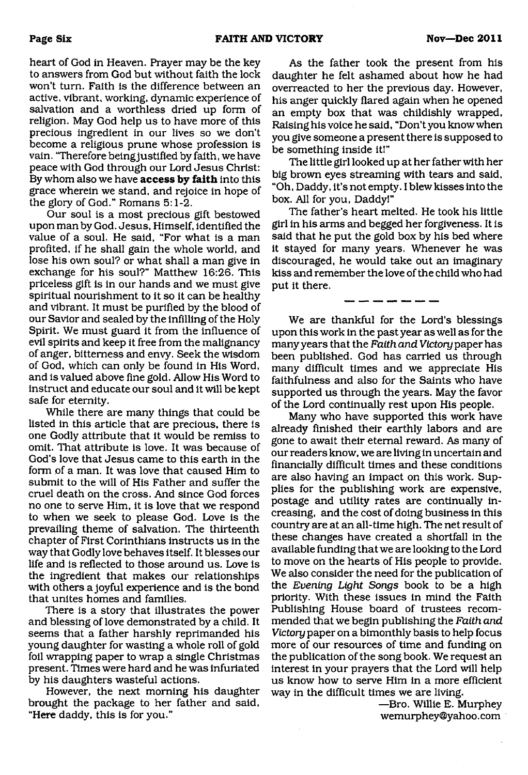heart of God in Heaven. Prayer may be the key to answers from God but without faith the lock won't turn. Faith is the difference between an active, vibrant, working, dynamic experience of salvation and a worthless dried up form of religion. May God help us to have more of this precious ingredient in our lives so we don't become a religious prune whose profession is vain. "Therefore being justified by faith, we have peace with God through our Lord Jesus Christ: By whom also we have **access by faith** into this grace wherein we stand, and rejoice in hope of the glory of God." Romans 5:1-2.

Our soul is a most precious gift bestowed upon man by God. Jesus, Himself, identified the value of a soul. He said, "For what is a man profited, if he shall gain the whole world, and lose his own soul? or what shall a man give in exchange for his soul?" Matthew 16:26. This priceless gift is in our hands and we must give spiritual nourishment to it so it can be healthy and vibrant. It must be purified by the blood of our Savior and sealed by the infilling of the Holy Spirit. We must guard it from the influence of evil spirits and keep it free from the malignancy of anger, bitterness and envy. Seek the wisdom of God, which can only be found in His Word, and is valued above fine gold. Allow His Word to instruct and educate our soul and it will be kept safe for eternity.

While there are many things that could be listed in this article that are precious, there is one Godly attribute that it would be remiss to omit. That attribute is love. It was because of God's love that Jesus came to this earth in the form of a man. It was love that caused Him to submit to the will of His Father and suffer the cruel death on the cross. And since God forces no one to serve Him, it is love that we respond to when we seek to please God. Love is the prevailing theme of salvation. The thirteenth chapter of First Corinthians instructs us in the way that Godly love behaves itself. It blesses our life and is reflected to those around us. Love is the ingredient that makes our relationships with others a joyful experience and is the bond that unites homes and families.

There is a story that illustrates the power and blessing of love demonstrated by a child. It seems that a father harshly reprimanded his young daughter for wasting a whole roll of gold foil wrapping paper to wrap a single Christmas present. Times were hard and he was infuriated by his daughters wasteful actions.

However, the next morning his daughter brought the package to her father and said, **"Here** daddy, this is for you."

As the father took the present from his daughter he felt ashamed about how he had overreacted to her the previous day. However, his anger quickly flared again when he opened an empty box that was childishly wrapped, Raising his voice he said, "Don't you know when you give someone a present there is supposed to be something inside it!"

The little girl looked up at her father with her big brown eyes streaming with tears and said, "Oh, Daddy, it's not empty. I blew kisses into the box. All for you, Daddy!"

The father's heart melted. He took his little girl in his arms and begged her forgiveness. It is said that he put the gold box by his bed where it stayed for many years. Whenever he was discouraged, he would take out an imaginary kiss and remember the love of the child who had put it there.

We are thankful for the Lord's blessings upon this work in the past year as well as for the many years that the *Faith and Victory* paper has been published. God has carried us through many difficult times and we appreciate His faithfulness and also for the Saints who have supported us through the years. May the favor of the Lord continually rest upon His people.

Many who have supported this work have already finished their earthly labors and are gone to await their eternal reward. As many of our readers know, we are living in uncertain and financially difficult times and these conditions are also having an impact on this work. Supplies for the publishing work are expensive, postage and utility rates are continually increasing, and the cost of doing business in this country are at an all-time high. The net result of these changes have created a shortfall in the available funding that we are looking to the Lord to move on the hearts of His people to provide. We also consider the need for the publication of the *Evening Light Songs* book to be a high priority. With these issues in mind the Faith Publishing House board of trustees recommended that we begin publishing the *Faith and Victory* paper on a bimonthly basis to help focus more of our resources of time and funding on the publication of the song book. We request an interest in your prayers that the Lord will help us know how to serve Him in a more efficient way in the difficult times we are living.

> —Bro. Willie E. Murphey [wemurphey@yahoo.com](mailto:wemurphey@yahoo.com)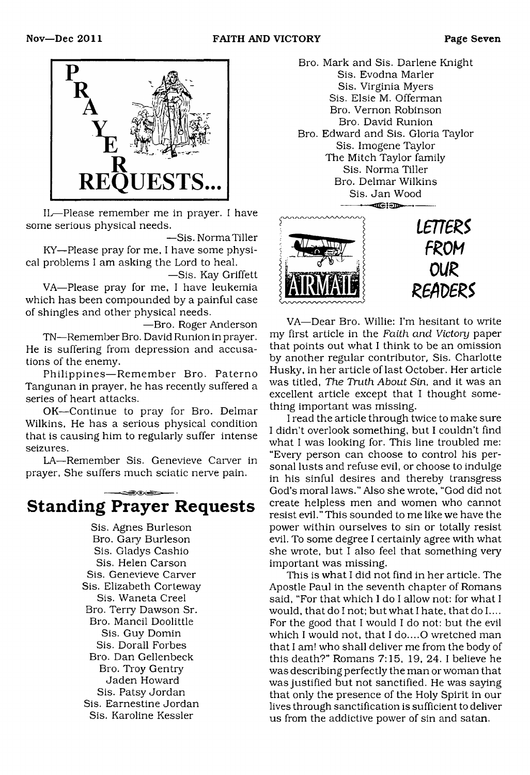

IL—Please remember me in prayer. I have some serious physical needs.

—Sis. Norma Tiller

KY—Please pray for me, I have some physical problems I am asking the Lord to heal.

—Sis. Kay Griffett

VA—Please pray for me, I have leukemia which has been compounded by a painful case of shingles and other physical needs.

—Bro. Roger Anderson TN—Remember Bro. David Runion in prayer. He is suffering from depression and accusations of the enemy.

Philippines— Remember Bro. Paterno Tangunan in prayer, he has recently suffered a series of heart attacks.

OK—Continue to pray for Bro. Delmar Wilkins, He has a serious physical condition that is causing him to regularly suffer intense seizures.

LA—Remember Sis. Genevieve Carver in prayer, She suffers much sciatic nerve pain.

### $\blacksquare$ **Standing Prayer Requests**

Sis. Agnes Burleson Bro. Gary Burleson Sis. Gladys Cashio Sis. Helen Carson Sis. Genevieve Carver Sis. Elizabeth Corteway Sis. Waneta Creel Bro. Terry Dawson Sr. Bro. Mancil Doolittle Sis. Guy Domin Sis. Dorall Forbes Bro. Dan Gellenbeck Bro. Troy Gentry Jaden Howard Sis. Patsy Jordan Sis. Earnestine Jordan Sis. Karoline Kessler

Bro. Mark and Sis. Darlene Knight Sis. Evodna Marler Sis. Virginia Myers Sis. Elsie M. Offerman Bro. Vernon Robinson Bro. David Runion Bro. Edward and Sis. Gloria Taylor Sis. Imogene Taylor The Mitch Taylor family Sis. Norma Tiller Bro. Delmar Wilkins Sis. Jan Wood



*im ezs ROM o u z READERS* 

VA—Dear Bro. Willie: I'm hesitant to write my first article in the *Faith and Victory* paper that points out what I think to be an omission by another regular contributor, Sis. Charlotte Husky, in her article of last October. Her article was titled, *The Truth About Sin,* and it was an excellent article except that I thought something important was missing.

I read the article through twice to make sure I didn't overlook something, but I couldn't find what I was looking for. This line troubled me: "Every person can choose to control his personal lusts and refuse evil, or choose to indulge in his sinful desires and thereby transgress God's moral laws." Also she wrote, "God did not create helpless men and women who cannot resist evil." This sounded to me like we have the power within ourselves to sin or totally resist evil. To some degree I certainly agree with what she wrote, but I also feel that something very important was missing.

This is what I did not find in her article. The Apostle Paul in the seventh chapter of Romans said, "For that which I do I allow not: for what I would, that do I not: but what I hate, that do I.... For the good that I would I do not: but the evil which I would not, that I do....O wretched man that I am! who shall deliver me from the body of this death?" Romans 7:15, 19, 24. I believe he was describing perfectly the man or woman that was justified but not sanctified. He was saying that only the presence of the Holy Spirit in our lives through sanctification is sufficient to deliver us from the addictive power of sin and satan.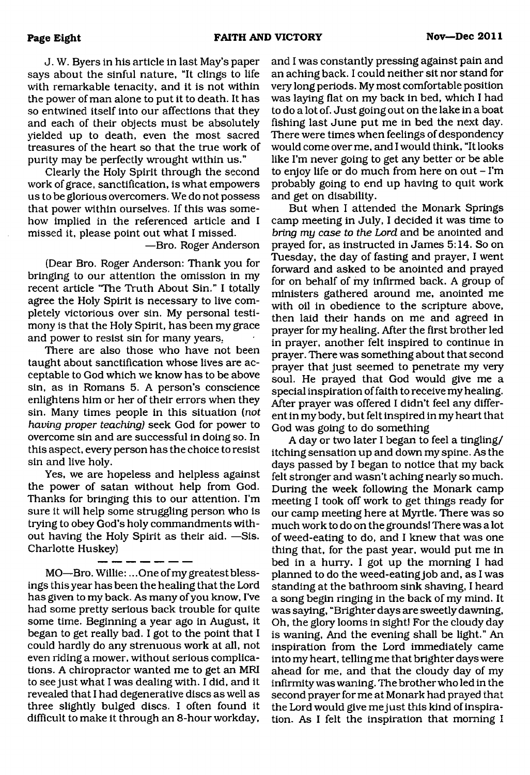J. W. Byers in his article in last May's paper says about the sinful nature, "It clings to life with remarkable tenacity, and it is not within the power of man alone to put it to death. It has so entwined itself into our affections that they and each of their objects must be absolutely yielded up to death, even the most sacred treasures of the heart so that the true work of purity may be perfectly wrought within us."

Clearly the Holy Spirit through the second work of grace, sanctification, is what empowers us to be glorious overcomers. We do not possess that power within ourselves. If this was somehow implied in the referenced article and I missed it, please point out what I missed.

—Bro. Roger Anderson

(Dear Bro. Roger Anderson: Thank you for bringing to our attention the omission in my recent article "The Truth About Sin." I totally agree the Holy Spirit is necessary to live completely victorious over sin. My personal testimony is that the Holy Spirit, has been my grace and power to resist sin for many years.

There are also those who have not been taught about sanctification whose lives are acceptable to God which we know has to be above sin, as in Romans 5. A person's conscience enlightens him or her of their errors when they sin. Many times people in this situation (not *having proper teaching)* seek God for power to overcome sin and are successful in doing so. In this aspect, every person has the choice to resist sin and live holy.

Yes, we are hopeless and helpless against the power of satan without help from God. Thanks for bringing this to our attention. I'm sure it will help some struggling person who is trying to obey God's holy commandments without having the Holy Spirit as their aid. —Sis. Charlotte Huskey)

MO—Bro. Willie:.. .One of my greatest blessings this year has been the healing that the Lord has given to my back. As many of you know, I've had some pretty serious back trouble for quite some time. Beginning a year ago in August, it began to get really bad. I got to the point that I could hardly do any strenuous work at all, not even riding a mower, without serious complications. A chiropractor wanted me to get an MRI to see just what I was dealing with. I did, and it revealed that I had degenerative discs as well as three slightly bulged discs. I often found it difficult to make it through an 8-hour workday,

and I was constantly pressing against pain and an aching back. I could neither sit nor stand for very long periods. My most comfortable position was laying flat on my back in bed, which I had to do a lot of. Just going out on the lake in a boat fishing last June put me in bed the next day. There were times when feelings of despondency would come over me, and I would think, "It looks like I'm never going to get any better or be able to enjoy life or do much from here on out - I'm probably going to end up having to quit work and get on disability.

But when I attended the Monark Springs camp meeting in July, I decided it was time to *bring my case to the Lord* and be anointed and prayed for, as instructed in James 5:14. So on Tuesday, the day of fasting and prayer, I went forward and asked to be anointed and prayed for on behalf of my infirmed back. A group of ministers gathered around me, anointed me with oil in obedience to the scripture above, then laid their hands on me and agreed in prayer for my healing. After the first brother led in prayer, another felt inspired to continue in prayer. There was something about that second prayer that just seemed to penetrate my very soul. He prayed that God would give me a special inspiration of faith to receive my healing. After prayer was offered I didn't feel any different in my body, but felt inspired in my heart that God was going to do something

A day or two later I began to feel a tingling/ itching sensation up and down my spine. As the days passed by I began to notice that my back felt stronger and wasn't aching nearly so much. During the week following the Monark camp meeting I took off work to get things ready for our camp meeting here at Myrtle. There was so much work to do on the grounds! There was a lot of weed-eating to do, and I knew that was one thing that, for the past year, would put me in bed in a hurry. I got up the morning I had planned to do the weed-eating job and, as I was standing at the bathroom sink shaving, I heard a song begin ringing in the back of my mind. It was saying, "Brighter days are sweetly dawning, Oh, the glory looms in sight! For the cloudy day is waning, And the evening shall be light." An inspiration from the Lord immediately came into my heart, telling me that brighter days were ahead for me, and that the cloudy day of my infirmity was waning. The brother who led in the second prayer for me at Monark had prayed that the Lord would give me just this kind of inspiration. As I felt the inspiration that morning I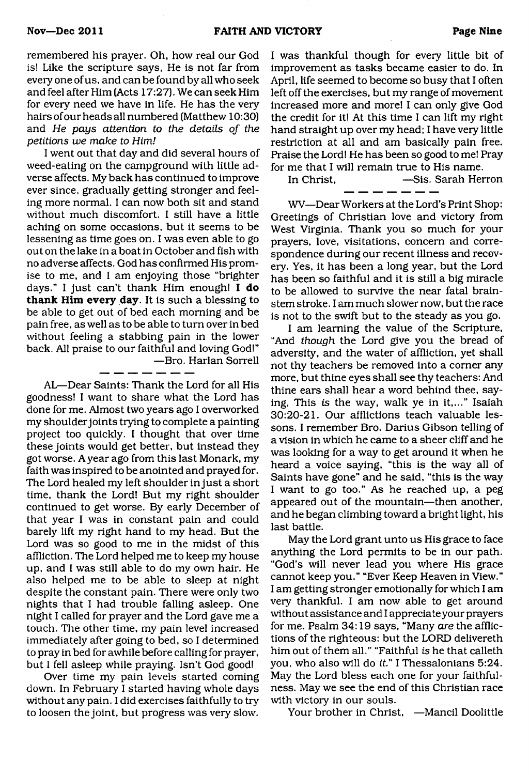remembered his prayer. Oh, how real our God is! Like the scripture says, He is not far from every one of us, and can be found by all who seek and feel after Him (Acts 17:27). We can seek Him for every need we have in life. He has the very hairs of our heads all numbered (Matthew 10:30) and *He pays attention to the details of the petitions we make to Him!*

I went out that day and did several hours of weed-eating on the campground with little adverse affects. My back has continued to improve ever since, gradually getting stronger and feeling more normal. I can now both sit and stand without much discomfort. I still have a little aching on some occasions, but it seems to be lessening as time goes on. I was even able to go out on the lake in a boat in October and fish with no adverse affects. God has confirmed His promise to me, and I am enjoying those "brighter days." **I** just can't thank Him enough! **I do thank Him every day.** It is such a blessing to be able to get out of bed each morning and be pain free, as well as to be able to turn over in bed without feeling a stabbing pain in the lower back. All praise to our faithful and loving God!" —Bro. Harlan Sorrell

AL—Dear Saints: Thank the Lord for all His goodness! I want to share what the Lord has done for me. Almost two years ago I overworked my shoulder joints trying to complete a painting project too quickly. I thought that over time these joints would get better, but instead they got worse. A year ago from this last Monark, my faith was inspired to be anointed and prayed for. The Lord healed my left shoulder in just a short time, thank the Lord! But my right shoulder continued to get worse. By early December of that year I was in constant pain and could barely lift my right hand to my head. But the Lord was so good to me in the midst of this affliction. The Lord helped me to keep my house up, and I was still able to do my own hair. He also helped me to be able to sleep at night despite the constant pain. There were only two nights that I had trouble falling asleep. One night I called for prayer and the Lord gave me a touch. The other time, my pain level increased immediately after going to bed, so I determined to pray in bed for awhile before calling for prayer, but I fell asleep while praying. Isn't God good!

Over time my pain levels started coming down. In February I started having whole days without any pain. I did exercises faithfully to try to loosen the joint, but progress was very slow.

I was thankful though for every little bit of improvement as tasks became easier to do. In April, life seemed to become so busy that I often left off the exercises, but my range of movement increased more and more! I can only give God the credit for it! At this time I can lift my right hand straight up over my head; I have very little restriction at all and am basically pain free. Praise the Lord! He has been so good to me! Pray for me that I will remain true to His name.

In Christ. — Sis. Sarah Herron

WV—Dear Workers at the Lord's Print Shop: Greetings of Christian love and victory from West Virginia. Thank you so much for your prayers, love, visitations, concern and correspondence during our recent illness and recovery. Yes, it has been a long year, but the Lord has been so faithful and it is still a big miracle to be allowed to survive the near fatal brainstem stroke. I am much slower now, but the race is not to the swift but to the steady as you go.

I am learning the value of the Scripture, "And *though* the Lord give you the bread of adversity, and the water of affliction, yet shall not thy teachers be removed into a comer any more, but thine eyes shall see thy teachers: And thine ears shall hear a word behind thee, saying, This *is* the way, walk ye in it,..." Isaiah 30:20-21. Our afflictions teach valuable lessons. I remember Bro. Darius Gibson telling of a vision in which he came to a sheer cliff and he was looking for a way to get around it when he heard a voice saying, "this is the way all of Saints have gone" and he said, "this is the way I want to go too." As he reached up, a peg appeared out of the mountain—then another, and he began climbing toward a bright light, his last battle.

May the Lord grant unto us His grace to face anything the Lord permits to be in our path. "God's will never lead you where His grace cannot keep you." "Ever Keep Heaven in View." I am getting stronger emotionally for which I am very thankful. I am now able to get around without assistance and I appreciate your prayers for me. Psalm 34:19 says, "Many *are* the afflictions of the righteous: but the LORD delivereth him out of them all." "Faithful *is* he that calleth you, who also will do *it"* I Thessalonians 5:24. May the Lord bless each one for your faithfulness. May we see the end of this Christian race with victory in our souls.

Your brother in Christ, —Mancil Doolittle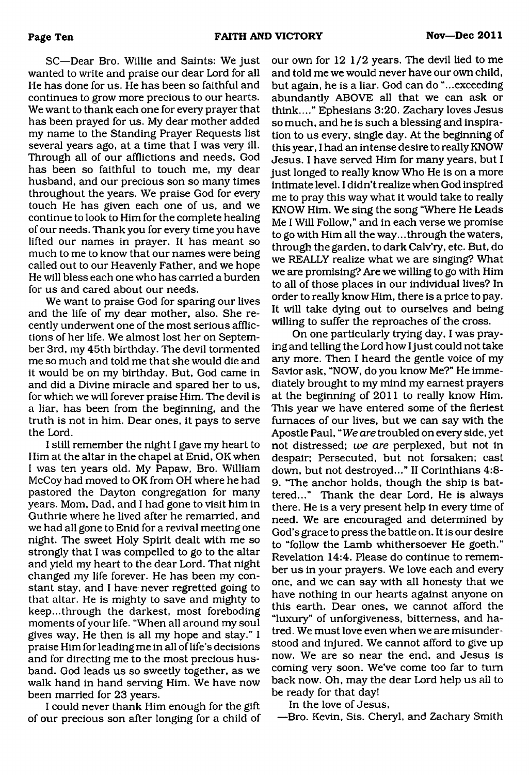SC—Dear Bro. Willie and Saints: We just wanted to write and praise our dear Lord for all He has done for us. He has been so faithful and continues to grow more precious to our hearts. We want to thank each one for every prayer that has been prayed for us. My dear mother added my name to the Standing Prayer Requests list several years ago, at a time that I was very ill. Through all of our afflictions and needs, God has been so faithful to touch me, my dear husband, and our precious son so many times throughout the years. We praise God for every touch He has given each one of us, and we continue to look to Him for the complete healing of our needs. Thank you for every time you have lifted our names in prayer. It has meant so much to me to know that our names were being called out to our Heavenly Father, and we hope He will bless each one who has carried a burden for us and cared about our needs.

We want to praise God for sparing our lives and the life of my dear mother, also. She recently underwent one of the most serious afflictions of her life. We almost lost her on September 3rd, my 45th birthday. The devil tormented me so much and told me that she would die and it would be on my birthday. But, God came in and did a Divine miracle and spared her to us, for which we will forever praise Him. The devil is a liar, has been from the beginning, and the truth is not in him. Dear ones, it pays to serve the Lord.

I still remember the night I gave my heart to Him at the altar in the chapel at Enid, OK when I was ten years old. My Papaw, Bro. William McCoy had moved to OK from OH where he had pastored the Dayton congregation for many years. Mom, Dad, and I had gone to visit him in Guthrie where he lived after he remarried, and we had all gone to Enid for a revival meeting one night. The sweet Holy Spirit dealt with me so strongly that I was compelled to go to the altar and yield my heart to the dear Lord. That night changed my life forever. He has been my constant stay, and I have never regretted going to that altar. He is mighty to save and mighty to keep...through the darkest, most foreboding moments of your life. "When all around my soul gives way, He then is all my hope and stay." I praise Him for leading me in all of life's decisions and for directing me to the most precious husband. God leads us so sweetly together, as we walk hand in hand serving Him. We have now been married for 23 years.

I could never thank Him enough for the gift of our precious son after longing for a child of

our own for 12 1/2 years. The devil lied to me and told me we would never have our own child, but again, he is a liar. God can do "...exceeding abundantly ABOVE all that we can ask or think...." Ephesians 3:20. Zachary loves Jesus so much, and he is such a blessing and inspiration to us every, single day. At the beginning of this year, I had an intense desire to really KNOW Jesus. I have served Him for many years, but I just longed to really know Who He is on a more intimate level. I didn't realize when God inspired me to pray this way what it would take to really KNOW Him. We sing the song "Where He Leads Me I Will Follow," and in each verse we promise to go with Him all the way.. .through the waters, through the garden, to dark Calv'ry, etc. But, do we REALLY realize what we are singing? What we are promising? Are we willing to go with Him to all of those places in our individual lives? In order to really know Him, there is a price to pay. It will take dying out to ourselves and being willing to suffer the reproaches of the cross.

On one particularly trying day, I was praying and telling the Lord how I just could not take any more. Then I heard the gentle voice of my Savior ask, "NOW, do you know Me?" He immediately brought to my mind my earnest prayers at the beginning of 2011 to really know Him. This year we have entered some of the fieriest furnaces of our lives, but we can say with the Apostle Paul, "We *are* troubled on every side, yet not distressed; *we are* perplexed, but not in despair; Persecuted, but not forsaken; cast down, but not destroyed..." II Corinthians 4:8- 9. "The anchor holds, though the ship is battered..." Thank the dear Lord, He is always there. He is a very present help in every time of need. We are encouraged and determined by God's grace to press the battle on. It is our desire to "follow the Lamb whithersoever He goeth." Revelation 14:4. Please do continue to remember us in your prayers. We love each and every one, and we can say with all honesty that we have nothing in our hearts against anyone on this earth. Dear ones, we cannot afford the "luxury" of unforgiveness, bitterness, and hatred. We must love even when we are misunderstood and injured. We cannot afford to give up now. We are so near the end, and Jesus is coming very soon. We've come too far to turn back now. Oh, may the dear Lord help us ail to be ready for that day!

In the love of Jesus,

—Bro. Kevin, Sis. Cheryl, and Zachary Smith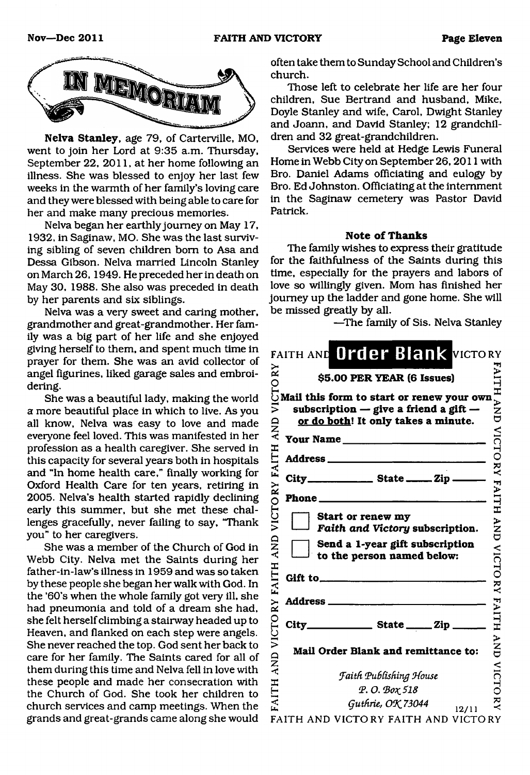

**Nelva Stanley,** age 79, of Carterville, MO, went to join her Lord at 9:35 a.m. Thursday, September 22, 2011, at her home following an illness. She was blessed to enjoy her last few weeks in the warmth of her family's loving care and they were blessed with being able to care for her and make many precious memories.

Nelva began her earthly journey on May 17, 1932, in Saginaw, MO. She was the last surviving sibling of seven children bom to Asa and Dessa Gibson. Nelva married Lincoln Stanley on March 26,1949. He preceded her in death on May 30, 1988. She also was preceded in death by her parents and six siblings.

Nelva was a very Sweet and caring mother, grandmother and great-grandmother. Her family was a big part of her life and she enjoyed giving herself to them, and spent much time in prayer for them. She was an avid collector of angel figurines, liked garage sales and embroidering.

She was a beautiful lady, making the world a more beautiful place in which to live. As you all know, Nelva was easy to love and made everyone feel loved. This was manifested in her profession as a health caregiver. She served in this capacity for several years both in hospitals and "In home health care," finally working for Oxford Health Care for ten years, retiring in 2005. Nelva's health started rapidly declining early this summer, but she met these challenges gracefully, never failing to say, "Thank you" to her caregivers.

She was a member of the Church of God in Webb City. Nelva met the Saints during her father-in-law's illness in 1959 and was so taken by these people she began her walk with God. In the '60's when the whole family got very ill, she had pneumonia and told of a dream she had, she felt herself climbing a stairway headed up to Heaven, and flanked on each step were angels. She never reached the top. God sent her back to care for her family. The Saints cared for all of them during this time and Nelva fell in love with these people and made her consecration with the Church of God. She took her children to church services and camp meetings. When the grands and great-grands came along she would often take them to Sunday School and Children's church.

Those left to celebrate her life are her four children, Sue Bertrand and husband, Mike, Doyle Stanley and wife, Carol, Dwight Stanley and Joann, and David Stanley; 12 grandchildren and 32 great-grandchildren.

Services were held at Hedge Lewis Funeral Home in Webb City on September 26,2011 with Bro. Daniel Adams officiating and eulogy by Bro. Ed Johnston. Officiating at the internment in the Saginaw cemetery was Pastor David Patrick.

#### **Note of Thanks**

The family wishes to express their gratitude for the faithfulness of the Saints during this time, especially for the prayers and labors of love so willingly given. Mom has finished her journey up the ladder and gone home. She will be missed greatly by all.

—The family of Sis. Nelva Stanley

| ΚX<br>VICTO         | FAITH AND Order Blank VICTORY<br>\$5.00 PER YEAR (6 Issues)<br>Mail this form to start or renew your own<br>subscription $-$ give a friend a gift $-$<br>or do both! It only takes a minute. |                 |
|---------------------|----------------------------------------------------------------------------------------------------------------------------------------------------------------------------------------------|-----------------|
| AND                 | Your Name                                                                                                                                                                                    |                 |
| ITH                 | Address _____                                                                                                                                                                                |                 |
| $F_{\mathbf{A}}$    | City______________________ State ________ Zip _                                                                                                                                              | $\widetilde{R}$ |
|                     | <b>Phone</b>                                                                                                                                                                                 | <b>FAITH</b>    |
| VICTORY             | Start or renew my<br>Faith and Victory subscription.                                                                                                                                         | <b>AND</b>      |
| AND                 | Send a 1-year gift subscription<br>to the person named below:                                                                                                                                | <b>VICTORY</b>  |
| FAITH               | Gift to $\qquad \qquad$                                                                                                                                                                      |                 |
| ΚX                  |                                                                                                                                                                                              | FAITH           |
|                     | City<br>$\frac{1}{\sqrt{1-\frac{1}{2}}\sqrt{1-\frac{1}{2}}\sin \frac{1}{2}}$ State $\frac{1}{\sqrt{1-\frac{1}{2}}\sin \frac{1}{2}}$                                                          |                 |
| VICTO<br><b>QNY</b> | Mail Order Blank and remittance to:                                                                                                                                                          | <b>AND</b>      |
|                     | <b>Faith Publishing House</b>                                                                                                                                                                | VICTO           |
| H                   | P.O. Box 518                                                                                                                                                                                 |                 |
|                     | Guthrie, OK 73044<br>12/11                                                                                                                                                                   |                 |
|                     | FAITH AND VICTORY FAITH AND VICTORY                                                                                                                                                          |                 |